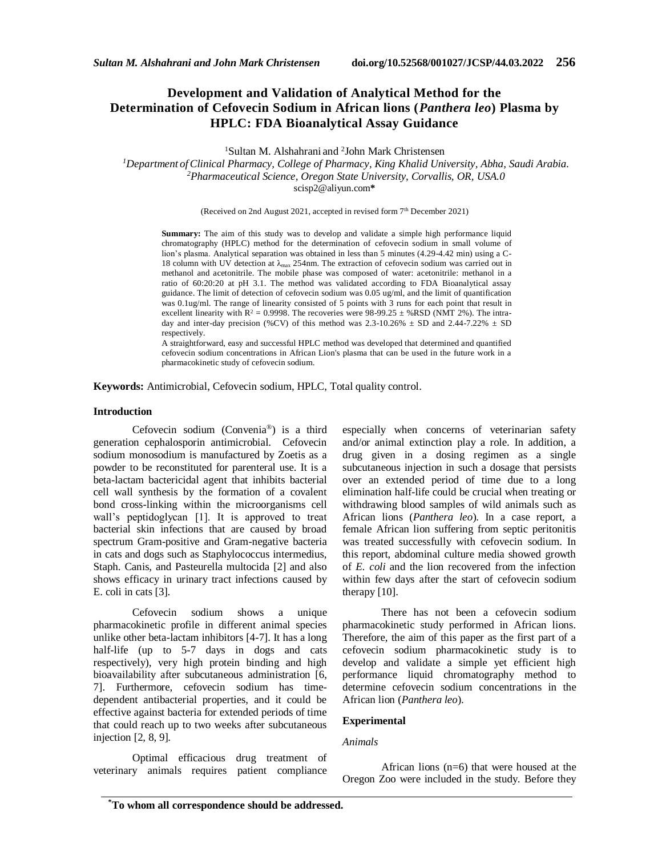# **Development and Validation of Analytical Method for the Determination of Cefovecin Sodium in African lions (***Panthera leo***) Plasma by HPLC: FDA Bioanalytical Assay Guidance**

<sup>1</sup>Sultan M. Alshahrani and <sup>2</sup>John Mark Christensen

*<sup>1</sup>Department ofClinical Pharmacy, College of Pharmacy, King Khalid University, Abha, Saudi Arabia. <sup>2</sup>Pharmaceutical Science, Oregon State University, Corvallis, OR, USA.0* scisp2@aliyun.com**\***

(Received on 2nd August 2021, accepted in revised form 7th December 2021)

**Summary:** The aim of this study was to develop and validate a simple high performance liquid chromatography (HPLC) method for the determination of cefovecin sodium in small volume of lion's plasma. Analytical separation was obtained in less than 5 minutes (4.29-4.42 min) using a C-18 column with UV detection at λmax 254nm. The extraction of cefovecin sodium was carried out in methanol and acetonitrile. The mobile phase was composed of water: acetonitrile: methanol in a ratio of 60:20:20 at pH 3.1. The method was validated according to FDA Bioanalytical assay guidance. The limit of detection of cefovecin sodium was 0.05 ug/ml, and the limit of quantification was 0.1ug/ml. The range of linearity consisted of 5 points with 3 runs for each point that result in excellent linearity with  $R^2 = 0.9998$ . The recoveries were 98-99.25  $\pm$  %RSD (NMT 2%). The intraday and inter-day precision (%CV) of this method was 2.3-10.26%  $\pm$  SD and 2.44-7.22%  $\pm$  SD respectively.

A straightforward, easy and successful HPLC method was developed that determined and quantified cefovecin sodium concentrations in African Lion's plasma that can be used in the future work in a pharmacokinetic study of cefovecin sodium.

**Keywords:** Antimicrobial, Cefovecin sodium, HPLC, Total quality control.

## **Introduction**

Cefovecin sodium (Convenia®) is a third generation cephalosporin antimicrobial. Cefovecin sodium monosodium is manufactured by Zoetis as a powder to be reconstituted for parenteral use. It is a beta-lactam bactericidal agent that inhibits bacterial cell wall synthesis by the formation of a covalent bond cross-linking within the microorganisms cell wall's peptidoglycan [1]. It is approved to treat bacterial skin infections that are caused by broad spectrum Gram-positive and Gram-negative bacteria in cats and dogs such as Staphylococcus intermedius, Staph. Canis, and Pasteurella multocida [2] and also shows efficacy in urinary tract infections caused by E. coli in cats [3].

Cefovecin sodium shows a unique pharmacokinetic profile in different animal species unlike other beta-lactam inhibitors [4-7]. It has a long half-life (up to 5-7 days in dogs and cats respectively), very high protein binding and high bioavailability after subcutaneous administration [6, 7]. Furthermore, cefovecin sodium has timedependent antibacterial properties, and it could be effective against bacteria for extended periods of time that could reach up to two weeks after subcutaneous injection [2, 8, 9].

Optimal efficacious drug treatment of veterinary animals requires patient compliance especially when concerns of veterinarian safety and/or animal extinction play a role. In addition, a drug given in a dosing regimen as a single subcutaneous injection in such a dosage that persists over an extended period of time due to a long elimination half-life could be crucial when treating or withdrawing blood samples of wild animals such as African lions (*Panthera leo*). In a case report, a female African lion suffering from septic peritonitis was treated successfully with cefovecin sodium. In this report, abdominal culture media showed growth of *E. coli* and the lion recovered from the infection within few days after the start of cefovecin sodium therapy [10].

There has not been a cefovecin sodium pharmacokinetic study performed in African lions. Therefore, the aim of this paper as the first part of a cefovecin sodium pharmacokinetic study is to develop and validate a simple yet efficient high performance liquid chromatography method to determine cefovecin sodium concentrations in the African lion (*Panthera leo*).

# **Experimental**

### *Animals*

African lions (n=6) that were housed at the Oregon Zoo were included in the study. Before they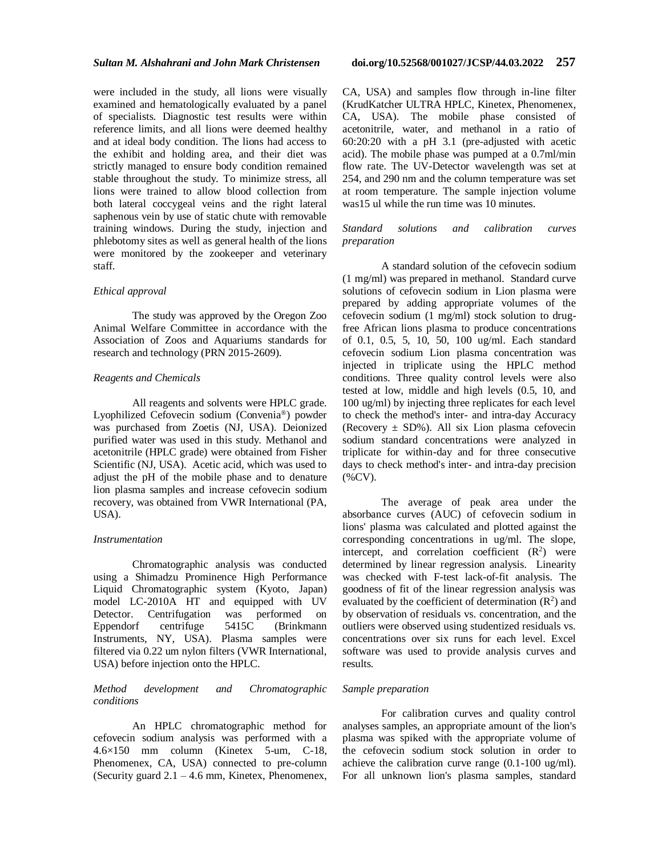were included in the study, all lions were visually examined and hematologically evaluated by a panel of specialists. Diagnostic test results were within reference limits, and all lions were deemed healthy and at ideal body condition. The lions had access to the exhibit and holding area, and their diet was strictly managed to ensure body condition remained stable throughout the study. To minimize stress, all lions were trained to allow blood collection from both lateral coccygeal veins and the right lateral saphenous vein by use of static chute with removable training windows. During the study, injection and phlebotomy sites as well as general health of the lions were monitored by the zookeeper and veterinary staff.

#### *Ethical approval*

The study was approved by the Oregon Zoo Animal Welfare Committee in accordance with the Association of Zoos and Aquariums standards for research and technology (PRN 2015-2609).

### *Reagents and Chemicals*

All reagents and solvents were HPLC grade. Lyophilized Cefovecin sodium (Convenia®) powder was purchased from Zoetis (NJ, USA). Deionized purified water was used in this study. Methanol and acetonitrile (HPLC grade) were obtained from Fisher Scientific (NJ, USA). Acetic acid, which was used to adjust the pH of the mobile phase and to denature lion plasma samples and increase cefovecin sodium recovery, was obtained from VWR International (PA, **.** 

#### *Instrumentation*

Chromatographic analysis was conducted using a Shimadzu Prominence High Performance Liquid Chromatographic system (Kyoto, Japan) model LC-2010A HT and equipped with UV Detector. Centrifugation was performed on<br>Eppendorf centrifuge 5415C (Brinkmann Eppendorf centrifuge 5415C (Brinkmann Instruments, NY, USA). Plasma samples were filtered via 0.22 um nylon filters (VWR International, USA) before injection onto the HPLC.

## *Method development and Chromatographic conditions*

An HPLC chromatographic method for cefovecin sodium analysis was performed with a 4.6×150 mm column (Kinetex 5-um, C-18, Phenomenex, CA, USA) connected to pre-column (Security guard  $2.1 - 4.6$  mm, Kinetex, Phenomenex, CA, USA) and samples flow through in-line filter (KrudKatcher ULTRA HPLC, Kinetex, Phenomenex, CA, USA). The mobile phase consisted of acetonitrile, water, and methanol in a ratio of 60:20:20 with a pH 3.1 (pre-adjusted with acetic acid). The mobile phase was pumped at a 0.7ml/min flow rate. The UV-Detector wavelength was set at 254, and 290 nm and the column temperature was set at room temperature. The sample injection volume was15 ul while the run time was 10 minutes.

## *Standard solutions and calibration curves preparation*

A standard solution of the cefovecin sodium (1 mg/ml) was prepared in methanol. Standard curve solutions of cefovecin sodium in Lion plasma were prepared by adding appropriate volumes of the cefovecin sodium (1 mg/ml) stock solution to drugfree African lions plasma to produce concentrations of 0.1, 0.5, 5, 10, 50, 100 ug/ml. Each standard cefovecin sodium Lion plasma concentration was injected in triplicate using the HPLC method conditions. Three quality control levels were also tested at low, middle and high levels (0.5, 10, and 100 ug/ml) by injecting three replicates for each level to check the method's inter- and intra-day Accuracy (Recovery  $\pm$  SD%). All six Lion plasma cefovecin sodium standard concentrations were analyzed in triplicate for within-day and for three consecutive days to check method's inter- and intra-day precision (%CV).

The average of peak area under the absorbance curves (AUC) of cefovecin sodium in lions' plasma was calculated and plotted against the corresponding concentrations in ug/ml. The slope, intercept, and correlation coefficient  $(R^2)$  were determined by linear regression analysis. Linearity was checked with F-test lack-of-fit analysis. The goodness of fit of the linear regression analysis was evaluated by the coefficient of determination  $(R^2)$  and by observation of residuals vs. concentration, and the outliers were observed using studentized residuals vs. concentrations over six runs for each level. Excel software was used to provide analysis curves and results.

#### *Sample preparation*

For calibration curves and quality control analyses samples, an appropriate amount of the lion's plasma was spiked with the appropriate volume of the cefovecin sodium stock solution in order to achieve the calibration curve range (0.1-100 ug/ml). For all unknown lion's plasma samples, standard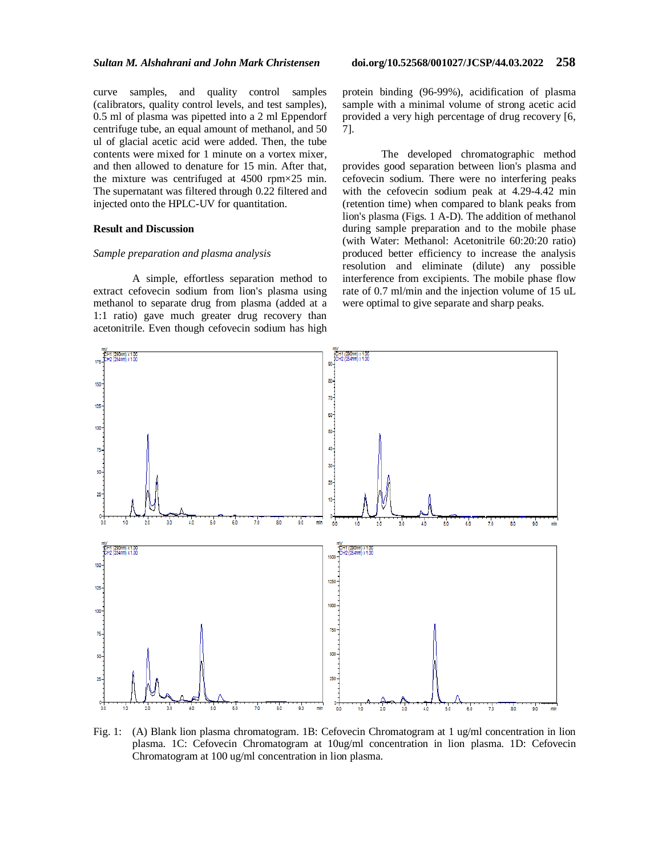curve samples, and quality control samples (calibrators, quality control levels, and test samples), 0.5 ml of plasma was pipetted into a 2 ml Eppendorf centrifuge tube, an equal amount of methanol, and 50 ul of glacial acetic acid were added. Then, the tube contents were mixed for 1 minute on a vortex mixer, and then allowed to denature for 15 min. After that, the mixture was centrifuged at 4500 rpm×25 min. The supernatant was filtered through 0.22 filtered and injected onto the HPLC-UV for quantitation.

## **Result and Discussion**

#### *Sample preparation and plasma analysis*

A simple, effortless separation method to extract cefovecin sodium from lion's plasma using methanol to separate drug from plasma (added at a 1:1 ratio) gave much greater drug recovery than acetonitrile. Even though cefovecin sodium has high protein binding (96-99%), acidification of plasma sample with a minimal volume of strong acetic acid provided a very high percentage of drug recovery [6, 7].

The developed chromatographic method provides good separation between lion's plasma and cefovecin sodium. There were no interfering peaks with the cefovecin sodium peak at 4.29-4.42 min (retention time) when compared to blank peaks from lion's plasma (Figs. 1 A-D). The addition of methanol during sample preparation and to the mobile phase (with Water: Methanol: Acetonitrile 60:20:20 ratio) produced better efficiency to increase the analysis resolution and eliminate (dilute) any possible interference from excipients. The mobile phase flow rate of 0.7 ml/min and the injection volume of 15 uL were optimal to give separate and sharp peaks.



Fig. 1: (A) Blank lion plasma chromatogram. 1B: Cefovecin Chromatogram at 1 ug/ml concentration in lion plasma. 1C: Cefovecin Chromatogram at 10ug/ml concentration in lion plasma. 1D: Cefovecin Chromatogram at 100 ug/ml concentration in lion plasma.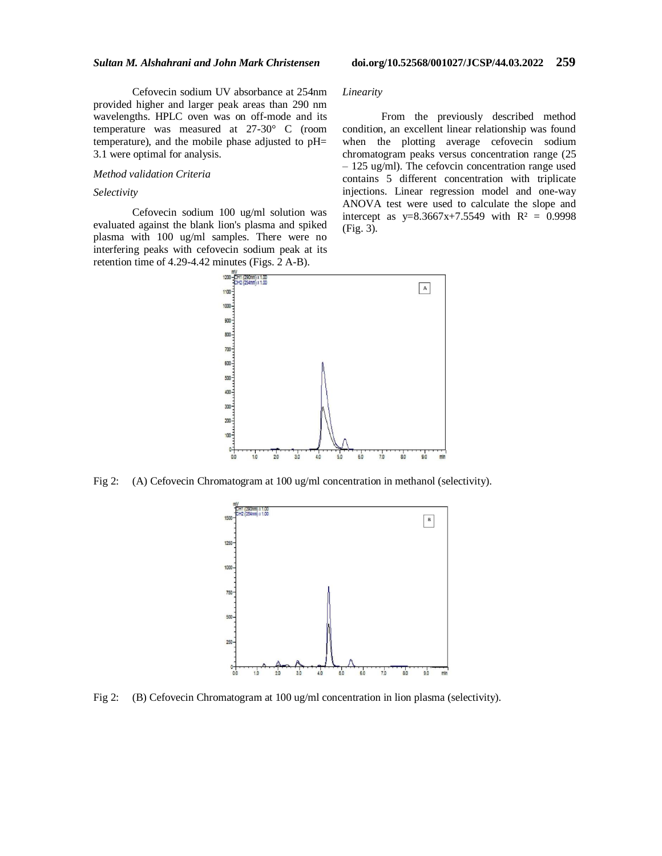Cefovecin sodium UV absorbance at 254nm provided higher and larger peak areas than 290 nm wavelengths. HPLC oven was on off-mode and its temperature was measured at 27-30° C (room temperature), and the mobile phase adjusted to pH= 3.1 were optimal for analysis.

#### *Method validation Criteria*

### *Selectivity*

Cefovecin sodium 100 ug/ml solution was evaluated against the blank lion's plasma and spiked plasma with 100 ug/ml samples. There were no interfering peaks with cefovecin sodium peak at its retention time of 4.29-4.42 minutes (Figs. 2 A-B).

*Linearity*

From the previously described method condition, an excellent linear relationship was found when the plotting average cefovecin sodium chromatogram peaks versus concentration range (25 – 125 ug/ml). The cefovcin concentration range used contains 5 different concentration with triplicate injections. Linear regression model and one-way ANOVA test were used to calculate the slope and intercept as  $y=8.3667x+7.5549$  with  $R^2 = 0.9998$ (Fig. 3).



Fig 2: (A) Cefovecin Chromatogram at 100 ug/ml concentration in methanol (selectivity).



Fig 2: (B) Cefovecin Chromatogram at 100 ug/ml concentration in lion plasma (selectivity).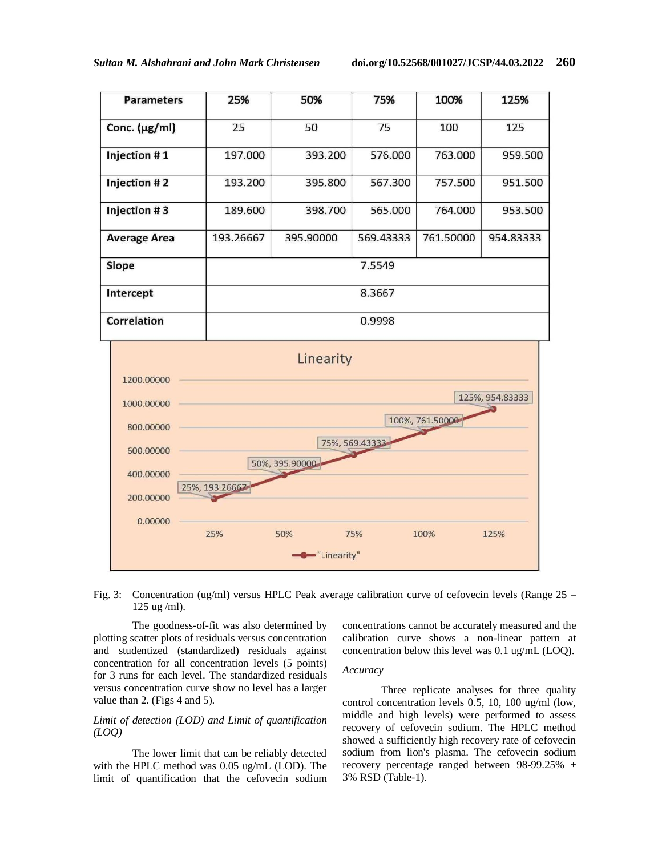

## Fig. 3: Concentration (ug/ml) versus HPLC Peak average calibration curve of cefovecin levels (Range 25 – 125 ug /ml).

The goodness-of-fit was also determined by plotting scatter plots of residuals versus concentration and studentized (standardized) residuals against concentration for all concentration levels (5 points) for 3 runs for each level. The standardized residuals versus concentration curve show no level has a larger value than 2. (Figs 4 and 5).

## *Limit of detection (LOD) and Limit of quantification (LOQ)*

The lower limit that can be reliably detected with the HPLC method was 0.05 ug/mL (LOD). The limit of quantification that the cefovecin sodium concentrations cannot be accurately measured and the calibration curve shows a non-linear pattern at concentration below this level was 0.1 ug/mL (LOQ).

## *Accuracy*

Three replicate analyses for three quality control concentration levels 0.5, 10, 100 ug/ml (low, middle and high levels) were performed to assess recovery of cefovecin sodium. The HPLC method showed a sufficiently high recovery rate of cefovecin sodium from lion's plasma. The cefovecin sodium recovery percentage ranged between 98-99.25% ± 3% RSD (Table-1).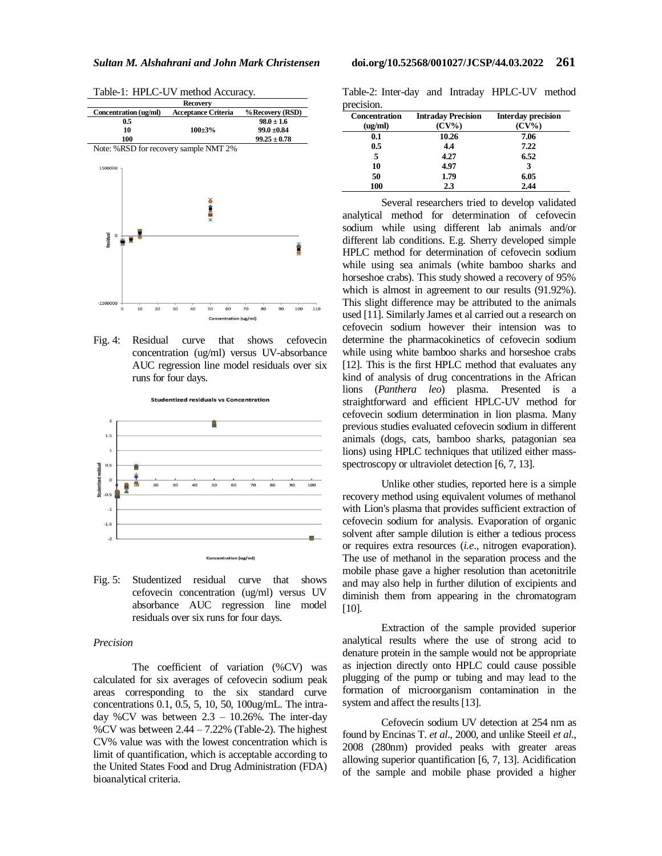**Recovery Concentration (ug/ml) Acceptance Criteria % Recovery (RSD) 0.5**  $98.0 \pm 1.6$ **100±3% 10 99.0 ±0.84 100 99.25 ± 0.78**  Note: %RSD for recovery sample NMT 2% 1500000 **CHING** esidual<br>O Ě  $-1500000$  $100$ 70

Table-1: HPLC-UV method Accuracy.





Fig. 5: Studentized residual curve that shows cefovecin concentration (ug/ml) versus UV absorbance AUC regression line model residuals over six runs for four days.

## *Precision*

The coefficient of variation (%CV) was calculated for six averages of cefovecin sodium peak areas corresponding to the six standard curve concentrations 0.1, 0.5, 5, 10, 50, 100ug/mL. The intraday %CV was between 2.3 – 10.26%. The inter-day %CV was between  $2.44 - 7.22%$  (Table-2). The highest CV% value was with the lowest concentration which is limit of quantification, which is acceptable according to the United States Food and Drug Administration (FDA) bioanalytical criteria.

Table-2: Inter-day and Intraday HPLC-UV method precision.

| <b>Concentration</b><br>(ug/ml) | <b>Intraday Precision</b><br>$(CV\%)$ | <b>Interday precision</b><br>$(CV\%)$ |
|---------------------------------|---------------------------------------|---------------------------------------|
| 0.1                             | 10.26                                 | 7.06                                  |
| 0.5                             | 4.4                                   | 7.22                                  |
| 5                               | 4.27                                  | 6.52                                  |
| 10                              | 4.97                                  |                                       |
| 50                              | 1.79                                  | 6.05                                  |
| 100                             | 2.3                                   | 2.44                                  |

Several researchers tried to develop validated analytical method for determination of cefovecin sodium while using different lab animals and/or different lab conditions. E.g. Sherry developed simple HPLC method for determination of cefovecin sodium while using sea animals (white bamboo sharks and horseshoe crabs). This study showed a recovery of 95% which is almost in agreement to our results (91.92%). This slight difference may be attributed to the animals used [11]. Similarly James et al carried out a research on cefovecin sodium however their intension was to determine the pharmacokinetics of cefovecin sodium while using white bamboo sharks and horseshoe crabs [12]. This is the first HPLC method that evaluates any kind of analysis of drug concentrations in the African lions (*Panthera leo*) plasma. Presented is a straightforward and efficient HPLC-UV method for cefovecin sodium determination in lion plasma. Many previous studies evaluated cefovecin sodium in different animals (dogs, cats, bamboo sharks, patagonian sea lions) using HPLC techniques that utilized either massspectroscopy or ultraviolet detection [6, 7, 13].

Unlike other studies, reported here is a simple recovery method using equivalent volumes of methanol with Lion's plasma that provides sufficient extraction of cefovecin sodium for analysis. Evaporation of organic solvent after sample dilution is either a tedious process or requires extra resources (*i.e*., nitrogen evaporation). The use of methanol in the separation process and the mobile phase gave a higher resolution than acetonitrile and may also help in further dilution of excipients and diminish them from appearing in the chromatogram [10].

Extraction of the sample provided superior analytical results where the use of strong acid to denature protein in the sample would not be appropriate as injection directly onto HPLC could cause possible plugging of the pump or tubing and may lead to the formation of microorganism contamination in the system and affect the results [13].

Cefovecin sodium UV detection at 254 nm as found by Encinas T. *et al*., 2000, and unlike Steeil *et al*., 2008 (280nm) provided peaks with greater areas allowing superior quantification [6, 7, 13]. Acidification of the sample and mobile phase provided a higher